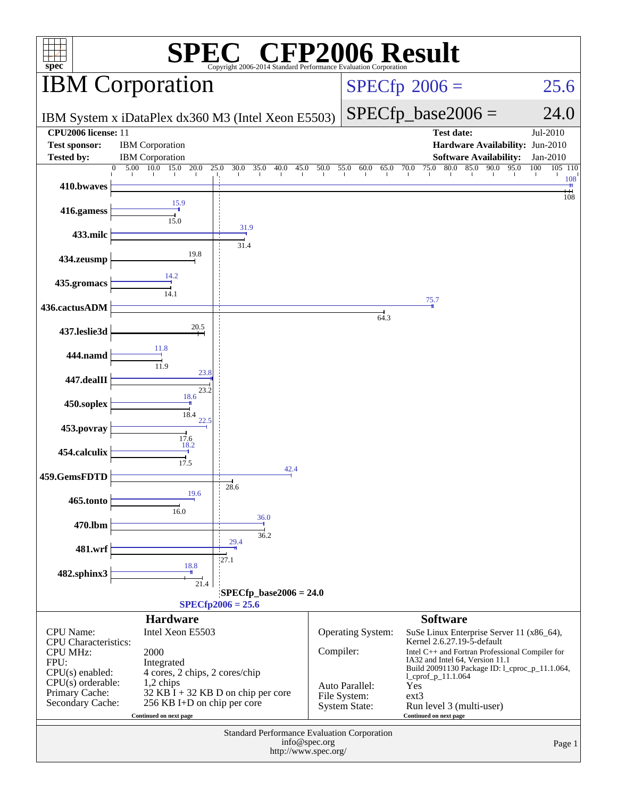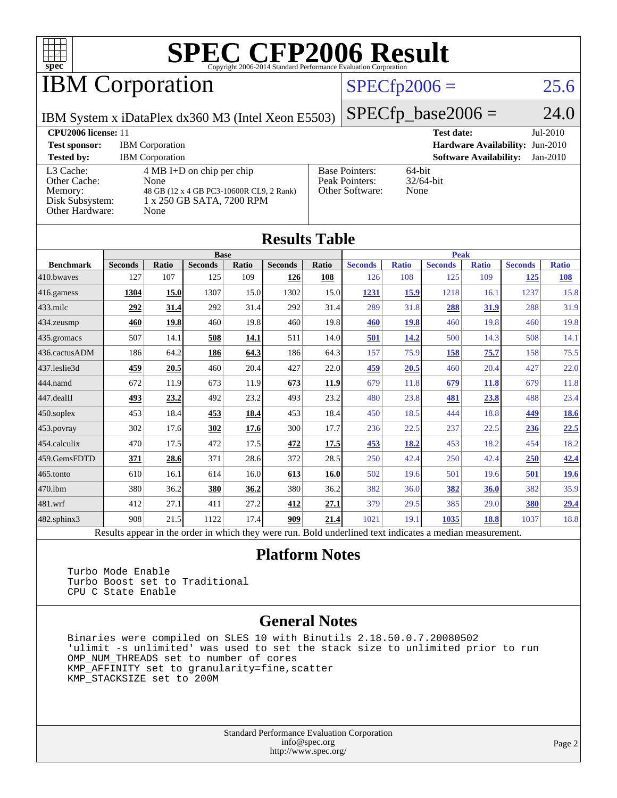

## **IBM Corporation**

### $SPECfp2006 = 25.6$  $SPECfp2006 = 25.6$

IBM System x iDataPlex dx360 M3 (Intel Xeon E5503)

 $SPECfp\_base2006 = 24.0$ 

| <b>CPU2006</b> license: 11                                                 |                                                                                                                              |                                                            | $Jul-2010$<br><b>Test date:</b>             |  |  |  |
|----------------------------------------------------------------------------|------------------------------------------------------------------------------------------------------------------------------|------------------------------------------------------------|---------------------------------------------|--|--|--|
| <b>Test sponsor:</b>                                                       | <b>IBM</b> Corporation                                                                                                       |                                                            | Hardware Availability: Jun-2010             |  |  |  |
| <b>Tested by:</b>                                                          | <b>IBM</b> Corporation                                                                                                       |                                                            | <b>Software Availability:</b><br>$Jan-2010$ |  |  |  |
| L3 Cache:<br>Other Cache:<br>Memory:<br>Disk Subsystem:<br>Other Hardware: | $4 \text{ MB I+D}$ on chip per chip<br>None<br>48 GB (12 x 4 GB PC3-10600R CL9, 2 Rank)<br>1 x 250 GB SATA, 7200 RPM<br>None | <b>Base Pointers:</b><br>Peak Pointers:<br>Other Software: | $64$ -bit<br>$32/64$ -bit<br>None           |  |  |  |

**[Results Table](http://www.spec.org/auto/cpu2006/Docs/result-fields.html#ResultsTable)**

| Results Table    |                                                                                                          |              |                |             |                |       |                |              |                |              |                |              |
|------------------|----------------------------------------------------------------------------------------------------------|--------------|----------------|-------------|----------------|-------|----------------|--------------|----------------|--------------|----------------|--------------|
|                  | <b>Base</b>                                                                                              |              |                |             | <b>Peak</b>    |       |                |              |                |              |                |              |
| <b>Benchmark</b> | <b>Seconds</b>                                                                                           | <b>Ratio</b> | <b>Seconds</b> | Ratio       | <b>Seconds</b> | Ratio | <b>Seconds</b> | <b>Ratio</b> | <b>Seconds</b> | <b>Ratio</b> | <b>Seconds</b> | <b>Ratio</b> |
| 410.bwayes       | 127                                                                                                      | 107          | 125            | 109         | 126            | 108   | 126            | 108          | 125            | 109          | <b>125</b>     | <u>108</u>   |
| 416.gamess       | 1304                                                                                                     | 15.0         | 1307           | 15.0        | 1302           | 15.0  | 1231           | 15.9         | 1218           | 16.1         | 1237           | 15.8         |
| $433$ .milc      | 292                                                                                                      | 31.4         | 292            | 31.4        | 292            | 31.4  | 289            | 31.8         | 288            | 31.9         | 288            | 31.9         |
| 434.zeusmp       | 460                                                                                                      | 19.8         | 460            | 19.8        | 460            | 19.8  | 460            | <u>19.8</u>  | 460            | 19.8         | 460            | 19.8         |
| 435 gromacs      | 507                                                                                                      | 14.1         | 508            | 14.1        | 511            | 14.0  | 501            | 14.2         | 500            | 14.3         | 508            | 14.1         |
| 436.cactusADM    | 186                                                                                                      | 64.2         | 186            | 64.3        | 186            | 64.3  | 157            | 75.9         | 158            | 75.7         | 158            | 75.5         |
| 437.leslie3d     | 459                                                                                                      | 20.5         | 460            | 20.4        | 427            | 22.0  | 459            | 20.5         | 460            | 20.4         | 427            | 22.0         |
| 444.namd         | 672                                                                                                      | 11.9         | 673            | 11.9        | 673            | 11.9  | 679            | 11.8         | 679            | 11.8         | 679            | 11.8         |
| 447.dealII       | 493                                                                                                      | 23.2         | 492            | 23.2        | 493            | 23.2  | 480            | 23.8         | 481            | 23.8         | 488            | 23.4         |
| $450$ .soplex    | 453                                                                                                      | 18.4         | 453            | 18.4        | 453            | 18.4  | 450            | 18.5         | 444            | 18.8         | 449            | <u>18.6</u>  |
| $453$ . povray   | 302                                                                                                      | 17.6         | 302            | <u>17.6</u> | 300            | 17.7  | 236            | 22.5         | 237            | 22.5         | 236            | 22.5         |
| 454.calculix     | 470                                                                                                      | 17.5         | 472            | 17.5        | 472            | 17.5  | 453            | 18.2         | 453            | 18.2         | 454            | 18.2         |
| 459.GemsFDTD     | 371                                                                                                      | 28.6         | 371            | 28.6        | 372            | 28.5  | 250            | 42.4         | 250            | 42.4         | 250            | 42.4         |
| 465.tonto        | 610                                                                                                      | 16.1         | 614            | 16.0        | 613            | 16.0  | 502            | 19.6         | 501            | 19.6         | 501            | <u>19.6</u>  |
| 470.1bm          | 380                                                                                                      | 36.2         | 380            | 36.2        | 380            | 36.2  | 382            | 36.0         | 382            | 36.0         | 382            | 35.9         |
| 481.wrf          | 412                                                                                                      | 27.1         | 411            | 27.2        | 412            | 27.1  | 379            | 29.5         | 385            | 29.0         | 380            | <u>29.4</u>  |
| 482.sphinx3      | 908                                                                                                      | 21.5         | 1122           | 17.4        | 909            | 21.4  | 1021           | 19.1         | 1035           | 18.8         | 1037           | 18.8         |
|                  | Results appear in the order in which they were run. Bold underlined text indicates a median measurement. |              |                |             |                |       |                |              |                |              |                |              |

#### **[Platform Notes](http://www.spec.org/auto/cpu2006/Docs/result-fields.html#PlatformNotes)**

 Turbo Mode Enable Turbo Boost set to Traditional CPU C State Enable

#### **[General Notes](http://www.spec.org/auto/cpu2006/Docs/result-fields.html#GeneralNotes)**

 Binaries were compiled on SLES 10 with Binutils 2.18.50.0.7.20080502 'ulimit -s unlimited' was used to set the stack size to unlimited prior to run OMP\_NUM\_THREADS set to number of cores KMP\_AFFINITY set to granularity=fine,scatter KMP\_STACKSIZE set to 200M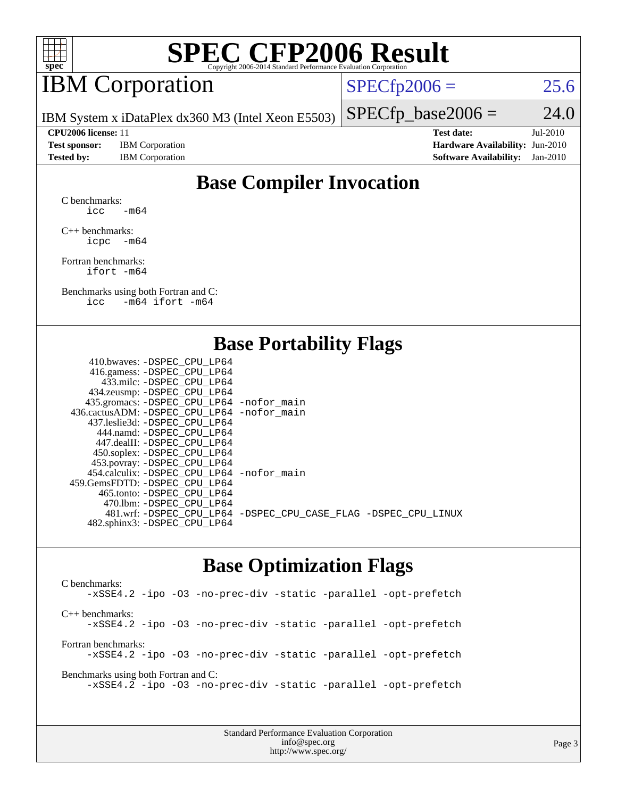

## IBM Corporation

 $SPECTp2006 = 25.6$ 

IBM System x iDataPlex dx360 M3 (Intel Xeon E5503)

**[Test sponsor:](http://www.spec.org/auto/cpu2006/Docs/result-fields.html#Testsponsor)** IBM Corporation **[Hardware Availability:](http://www.spec.org/auto/cpu2006/Docs/result-fields.html#HardwareAvailability)** Jun-2010 **[Tested by:](http://www.spec.org/auto/cpu2006/Docs/result-fields.html#Testedby)** IBM Corporation **[Software Availability:](http://www.spec.org/auto/cpu2006/Docs/result-fields.html#SoftwareAvailability)** Jan-2010

 $SPECfp\_base2006 = 24.0$ **[CPU2006 license:](http://www.spec.org/auto/cpu2006/Docs/result-fields.html#CPU2006license)** 11 **[Test date:](http://www.spec.org/auto/cpu2006/Docs/result-fields.html#Testdate)** Jul-2010

#### **[Base Compiler Invocation](http://www.spec.org/auto/cpu2006/Docs/result-fields.html#BaseCompilerInvocation)**

[C benchmarks](http://www.spec.org/auto/cpu2006/Docs/result-fields.html#Cbenchmarks): icc  $-m64$ 

[C++ benchmarks:](http://www.spec.org/auto/cpu2006/Docs/result-fields.html#CXXbenchmarks) [icpc -m64](http://www.spec.org/cpu2006/results/res2010q3/cpu2006-20100802-12716.flags.html#user_CXXbase_intel_icpc_64bit_bedb90c1146cab66620883ef4f41a67e)

[Fortran benchmarks](http://www.spec.org/auto/cpu2006/Docs/result-fields.html#Fortranbenchmarks): [ifort -m64](http://www.spec.org/cpu2006/results/res2010q3/cpu2006-20100802-12716.flags.html#user_FCbase_intel_ifort_64bit_ee9d0fb25645d0210d97eb0527dcc06e)

[Benchmarks using both Fortran and C](http://www.spec.org/auto/cpu2006/Docs/result-fields.html#BenchmarksusingbothFortranandC): [icc -m64](http://www.spec.org/cpu2006/results/res2010q3/cpu2006-20100802-12716.flags.html#user_CC_FCbase_intel_icc_64bit_0b7121f5ab7cfabee23d88897260401c) [ifort -m64](http://www.spec.org/cpu2006/results/res2010q3/cpu2006-20100802-12716.flags.html#user_CC_FCbase_intel_ifort_64bit_ee9d0fb25645d0210d97eb0527dcc06e)

#### **[Base Portability Flags](http://www.spec.org/auto/cpu2006/Docs/result-fields.html#BasePortabilityFlags)**

| 410.bwaves: -DSPEC CPU LP64                  |                                                                |
|----------------------------------------------|----------------------------------------------------------------|
| 416.gamess: - DSPEC_CPU_LP64                 |                                                                |
| 433.milc: -DSPEC CPU LP64                    |                                                                |
| 434.zeusmp: -DSPEC_CPU_LP64                  |                                                                |
| 435.gromacs: -DSPEC_CPU_LP64 -nofor_main     |                                                                |
| 436.cactusADM: - DSPEC CPU LP64 - nofor main |                                                                |
| 437.leslie3d: -DSPEC CPU LP64                |                                                                |
| 444.namd: - DSPEC CPU LP64                   |                                                                |
| 447.dealII: - DSPEC CPU LP64                 |                                                                |
| 450.soplex: -DSPEC_CPU_LP64                  |                                                                |
| 453.povray: -DSPEC_CPU_LP64                  |                                                                |
| 454.calculix: - DSPEC CPU LP64 - nofor main  |                                                                |
| 459. GemsFDTD: - DSPEC CPU LP64              |                                                                |
| 465.tonto: - DSPEC CPU LP64                  |                                                                |
| 470.1bm: - DSPEC CPU LP64                    |                                                                |
|                                              | 481.wrf: -DSPEC_CPU_LP64 -DSPEC_CPU_CASE_FLAG -DSPEC_CPU_LINUX |
| 482.sphinx3: -DSPEC_CPU_LP64                 |                                                                |
|                                              |                                                                |

#### **[Base Optimization Flags](http://www.spec.org/auto/cpu2006/Docs/result-fields.html#BaseOptimizationFlags)**

[C benchmarks](http://www.spec.org/auto/cpu2006/Docs/result-fields.html#Cbenchmarks): [-xSSE4.2](http://www.spec.org/cpu2006/results/res2010q3/cpu2006-20100802-12716.flags.html#user_CCbase_f-xSSE42_f91528193cf0b216347adb8b939d4107) [-ipo](http://www.spec.org/cpu2006/results/res2010q3/cpu2006-20100802-12716.flags.html#user_CCbase_f-ipo) [-O3](http://www.spec.org/cpu2006/results/res2010q3/cpu2006-20100802-12716.flags.html#user_CCbase_f-O3) [-no-prec-div](http://www.spec.org/cpu2006/results/res2010q3/cpu2006-20100802-12716.flags.html#user_CCbase_f-no-prec-div) [-static](http://www.spec.org/cpu2006/results/res2010q3/cpu2006-20100802-12716.flags.html#user_CCbase_f-static) [-parallel](http://www.spec.org/cpu2006/results/res2010q3/cpu2006-20100802-12716.flags.html#user_CCbase_f-parallel) [-opt-prefetch](http://www.spec.org/cpu2006/results/res2010q3/cpu2006-20100802-12716.flags.html#user_CCbase_f-opt-prefetch) [C++ benchmarks:](http://www.spec.org/auto/cpu2006/Docs/result-fields.html#CXXbenchmarks) [-xSSE4.2](http://www.spec.org/cpu2006/results/res2010q3/cpu2006-20100802-12716.flags.html#user_CXXbase_f-xSSE42_f91528193cf0b216347adb8b939d4107) [-ipo](http://www.spec.org/cpu2006/results/res2010q3/cpu2006-20100802-12716.flags.html#user_CXXbase_f-ipo) [-O3](http://www.spec.org/cpu2006/results/res2010q3/cpu2006-20100802-12716.flags.html#user_CXXbase_f-O3) [-no-prec-div](http://www.spec.org/cpu2006/results/res2010q3/cpu2006-20100802-12716.flags.html#user_CXXbase_f-no-prec-div) [-static](http://www.spec.org/cpu2006/results/res2010q3/cpu2006-20100802-12716.flags.html#user_CXXbase_f-static) [-parallel](http://www.spec.org/cpu2006/results/res2010q3/cpu2006-20100802-12716.flags.html#user_CXXbase_f-parallel) [-opt-prefetch](http://www.spec.org/cpu2006/results/res2010q3/cpu2006-20100802-12716.flags.html#user_CXXbase_f-opt-prefetch) [Fortran benchmarks](http://www.spec.org/auto/cpu2006/Docs/result-fields.html#Fortranbenchmarks): [-xSSE4.2](http://www.spec.org/cpu2006/results/res2010q3/cpu2006-20100802-12716.flags.html#user_FCbase_f-xSSE42_f91528193cf0b216347adb8b939d4107) [-ipo](http://www.spec.org/cpu2006/results/res2010q3/cpu2006-20100802-12716.flags.html#user_FCbase_f-ipo) [-O3](http://www.spec.org/cpu2006/results/res2010q3/cpu2006-20100802-12716.flags.html#user_FCbase_f-O3) [-no-prec-div](http://www.spec.org/cpu2006/results/res2010q3/cpu2006-20100802-12716.flags.html#user_FCbase_f-no-prec-div) [-static](http://www.spec.org/cpu2006/results/res2010q3/cpu2006-20100802-12716.flags.html#user_FCbase_f-static) [-parallel](http://www.spec.org/cpu2006/results/res2010q3/cpu2006-20100802-12716.flags.html#user_FCbase_f-parallel) [-opt-prefetch](http://www.spec.org/cpu2006/results/res2010q3/cpu2006-20100802-12716.flags.html#user_FCbase_f-opt-prefetch) [Benchmarks using both Fortran and C](http://www.spec.org/auto/cpu2006/Docs/result-fields.html#BenchmarksusingbothFortranandC): [-xSSE4.2](http://www.spec.org/cpu2006/results/res2010q3/cpu2006-20100802-12716.flags.html#user_CC_FCbase_f-xSSE42_f91528193cf0b216347adb8b939d4107) [-ipo](http://www.spec.org/cpu2006/results/res2010q3/cpu2006-20100802-12716.flags.html#user_CC_FCbase_f-ipo) [-O3](http://www.spec.org/cpu2006/results/res2010q3/cpu2006-20100802-12716.flags.html#user_CC_FCbase_f-O3) [-no-prec-div](http://www.spec.org/cpu2006/results/res2010q3/cpu2006-20100802-12716.flags.html#user_CC_FCbase_f-no-prec-div) [-static](http://www.spec.org/cpu2006/results/res2010q3/cpu2006-20100802-12716.flags.html#user_CC_FCbase_f-static) [-parallel](http://www.spec.org/cpu2006/results/res2010q3/cpu2006-20100802-12716.flags.html#user_CC_FCbase_f-parallel) [-opt-prefetch](http://www.spec.org/cpu2006/results/res2010q3/cpu2006-20100802-12716.flags.html#user_CC_FCbase_f-opt-prefetch)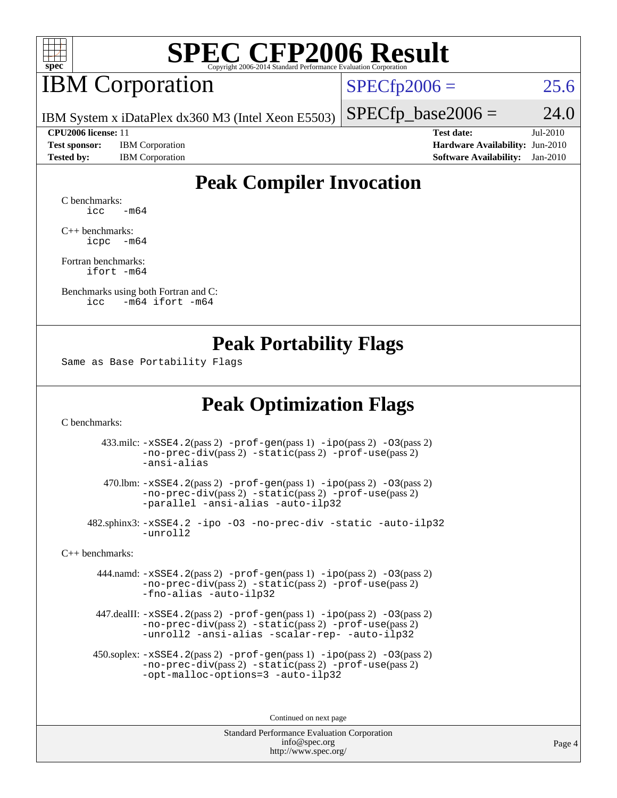

## **IBM** Corporation

 $SPECfp2006 = 25.6$  $SPECfp2006 = 25.6$ 

IBM System x iDataPlex dx360 M3 (Intel Xeon E5503)

**[Test sponsor:](http://www.spec.org/auto/cpu2006/Docs/result-fields.html#Testsponsor)** IBM Corporation **[Hardware Availability:](http://www.spec.org/auto/cpu2006/Docs/result-fields.html#HardwareAvailability)** Jun-2010 **[Tested by:](http://www.spec.org/auto/cpu2006/Docs/result-fields.html#Testedby)** IBM Corporation **[Software Availability:](http://www.spec.org/auto/cpu2006/Docs/result-fields.html#SoftwareAvailability)** Jan-2010

**[CPU2006 license:](http://www.spec.org/auto/cpu2006/Docs/result-fields.html#CPU2006license)** 11 **[Test date:](http://www.spec.org/auto/cpu2006/Docs/result-fields.html#Testdate)** Jul-2010

 $SPECfp\_base2006 = 24.0$ 

### **[Peak Compiler Invocation](http://www.spec.org/auto/cpu2006/Docs/result-fields.html#PeakCompilerInvocation)**

[C benchmarks](http://www.spec.org/auto/cpu2006/Docs/result-fields.html#Cbenchmarks):  $\text{icc}$   $-\text{m64}$ 

[C++ benchmarks:](http://www.spec.org/auto/cpu2006/Docs/result-fields.html#CXXbenchmarks) [icpc -m64](http://www.spec.org/cpu2006/results/res2010q3/cpu2006-20100802-12716.flags.html#user_CXXpeak_intel_icpc_64bit_bedb90c1146cab66620883ef4f41a67e)

[Fortran benchmarks](http://www.spec.org/auto/cpu2006/Docs/result-fields.html#Fortranbenchmarks): [ifort -m64](http://www.spec.org/cpu2006/results/res2010q3/cpu2006-20100802-12716.flags.html#user_FCpeak_intel_ifort_64bit_ee9d0fb25645d0210d97eb0527dcc06e)

[Benchmarks using both Fortran and C](http://www.spec.org/auto/cpu2006/Docs/result-fields.html#BenchmarksusingbothFortranandC): [icc -m64](http://www.spec.org/cpu2006/results/res2010q3/cpu2006-20100802-12716.flags.html#user_CC_FCpeak_intel_icc_64bit_0b7121f5ab7cfabee23d88897260401c) [ifort -m64](http://www.spec.org/cpu2006/results/res2010q3/cpu2006-20100802-12716.flags.html#user_CC_FCpeak_intel_ifort_64bit_ee9d0fb25645d0210d97eb0527dcc06e)

#### **[Peak Portability Flags](http://www.spec.org/auto/cpu2006/Docs/result-fields.html#PeakPortabilityFlags)**

Same as Base Portability Flags

### **[Peak Optimization Flags](http://www.spec.org/auto/cpu2006/Docs/result-fields.html#PeakOptimizationFlags)**

[C benchmarks](http://www.spec.org/auto/cpu2006/Docs/result-fields.html#Cbenchmarks):

 433.milc: [-xSSE4.2](http://www.spec.org/cpu2006/results/res2010q3/cpu2006-20100802-12716.flags.html#user_peakPASS2_CFLAGSPASS2_LDFLAGS433_milc_f-xSSE42_f91528193cf0b216347adb8b939d4107)(pass 2) [-prof-gen](http://www.spec.org/cpu2006/results/res2010q3/cpu2006-20100802-12716.flags.html#user_peakPASS1_CFLAGSPASS1_LDFLAGS433_milc_prof_gen_e43856698f6ca7b7e442dfd80e94a8fc)(pass 1) [-ipo](http://www.spec.org/cpu2006/results/res2010q3/cpu2006-20100802-12716.flags.html#user_peakPASS2_CFLAGSPASS2_LDFLAGS433_milc_f-ipo)(pass 2) [-O3](http://www.spec.org/cpu2006/results/res2010q3/cpu2006-20100802-12716.flags.html#user_peakPASS2_CFLAGSPASS2_LDFLAGS433_milc_f-O3)(pass 2) [-no-prec-div](http://www.spec.org/cpu2006/results/res2010q3/cpu2006-20100802-12716.flags.html#user_peakPASS2_CFLAGSPASS2_LDFLAGS433_milc_f-no-prec-div)(pass 2) [-static](http://www.spec.org/cpu2006/results/res2010q3/cpu2006-20100802-12716.flags.html#user_peakPASS2_CFLAGSPASS2_LDFLAGS433_milc_f-static)(pass 2) [-prof-use](http://www.spec.org/cpu2006/results/res2010q3/cpu2006-20100802-12716.flags.html#user_peakPASS2_CFLAGSPASS2_LDFLAGS433_milc_prof_use_bccf7792157ff70d64e32fe3e1250b55)(pass 2) [-ansi-alias](http://www.spec.org/cpu2006/results/res2010q3/cpu2006-20100802-12716.flags.html#user_peakOPTIMIZE433_milc_f-ansi-alias)

 470.lbm: [-xSSE4.2](http://www.spec.org/cpu2006/results/res2010q3/cpu2006-20100802-12716.flags.html#user_peakPASS2_CFLAGSPASS2_LDFLAGS470_lbm_f-xSSE42_f91528193cf0b216347adb8b939d4107)(pass 2) [-prof-gen](http://www.spec.org/cpu2006/results/res2010q3/cpu2006-20100802-12716.flags.html#user_peakPASS1_CFLAGSPASS1_LDFLAGS470_lbm_prof_gen_e43856698f6ca7b7e442dfd80e94a8fc)(pass 1) [-ipo](http://www.spec.org/cpu2006/results/res2010q3/cpu2006-20100802-12716.flags.html#user_peakPASS2_CFLAGSPASS2_LDFLAGS470_lbm_f-ipo)(pass 2) [-O3](http://www.spec.org/cpu2006/results/res2010q3/cpu2006-20100802-12716.flags.html#user_peakPASS2_CFLAGSPASS2_LDFLAGS470_lbm_f-O3)(pass 2) [-no-prec-div](http://www.spec.org/cpu2006/results/res2010q3/cpu2006-20100802-12716.flags.html#user_peakPASS2_CFLAGSPASS2_LDFLAGS470_lbm_f-no-prec-div)(pass 2) [-static](http://www.spec.org/cpu2006/results/res2010q3/cpu2006-20100802-12716.flags.html#user_peakPASS2_CFLAGSPASS2_LDFLAGS470_lbm_f-static)(pass 2) [-prof-use](http://www.spec.org/cpu2006/results/res2010q3/cpu2006-20100802-12716.flags.html#user_peakPASS2_CFLAGSPASS2_LDFLAGS470_lbm_prof_use_bccf7792157ff70d64e32fe3e1250b55)(pass 2) [-parallel](http://www.spec.org/cpu2006/results/res2010q3/cpu2006-20100802-12716.flags.html#user_peakOPTIMIZE470_lbm_f-parallel) [-ansi-alias](http://www.spec.org/cpu2006/results/res2010q3/cpu2006-20100802-12716.flags.html#user_peakOPTIMIZE470_lbm_f-ansi-alias) [-auto-ilp32](http://www.spec.org/cpu2006/results/res2010q3/cpu2006-20100802-12716.flags.html#user_peakCOPTIMIZE470_lbm_f-auto-ilp32)

 482.sphinx3: [-xSSE4.2](http://www.spec.org/cpu2006/results/res2010q3/cpu2006-20100802-12716.flags.html#user_peakOPTIMIZE482_sphinx3_f-xSSE42_f91528193cf0b216347adb8b939d4107) [-ipo](http://www.spec.org/cpu2006/results/res2010q3/cpu2006-20100802-12716.flags.html#user_peakOPTIMIZE482_sphinx3_f-ipo) [-O3](http://www.spec.org/cpu2006/results/res2010q3/cpu2006-20100802-12716.flags.html#user_peakOPTIMIZE482_sphinx3_f-O3) [-no-prec-div](http://www.spec.org/cpu2006/results/res2010q3/cpu2006-20100802-12716.flags.html#user_peakOPTIMIZE482_sphinx3_f-no-prec-div) [-static](http://www.spec.org/cpu2006/results/res2010q3/cpu2006-20100802-12716.flags.html#user_peakOPTIMIZE482_sphinx3_f-static) [-auto-ilp32](http://www.spec.org/cpu2006/results/res2010q3/cpu2006-20100802-12716.flags.html#user_peakCOPTIMIZE482_sphinx3_f-auto-ilp32) [-unroll2](http://www.spec.org/cpu2006/results/res2010q3/cpu2006-20100802-12716.flags.html#user_peakCOPTIMIZE482_sphinx3_f-unroll_784dae83bebfb236979b41d2422d7ec2)

[C++ benchmarks:](http://www.spec.org/auto/cpu2006/Docs/result-fields.html#CXXbenchmarks)

 444.namd: [-xSSE4.2](http://www.spec.org/cpu2006/results/res2010q3/cpu2006-20100802-12716.flags.html#user_peakPASS2_CXXFLAGSPASS2_LDFLAGS444_namd_f-xSSE42_f91528193cf0b216347adb8b939d4107)(pass 2) [-prof-gen](http://www.spec.org/cpu2006/results/res2010q3/cpu2006-20100802-12716.flags.html#user_peakPASS1_CXXFLAGSPASS1_LDFLAGS444_namd_prof_gen_e43856698f6ca7b7e442dfd80e94a8fc)(pass 1) [-ipo](http://www.spec.org/cpu2006/results/res2010q3/cpu2006-20100802-12716.flags.html#user_peakPASS2_CXXFLAGSPASS2_LDFLAGS444_namd_f-ipo)(pass 2) [-O3](http://www.spec.org/cpu2006/results/res2010q3/cpu2006-20100802-12716.flags.html#user_peakPASS2_CXXFLAGSPASS2_LDFLAGS444_namd_f-O3)(pass 2) [-no-prec-div](http://www.spec.org/cpu2006/results/res2010q3/cpu2006-20100802-12716.flags.html#user_peakPASS2_CXXFLAGSPASS2_LDFLAGS444_namd_f-no-prec-div)(pass 2) [-static](http://www.spec.org/cpu2006/results/res2010q3/cpu2006-20100802-12716.flags.html#user_peakPASS2_CXXFLAGSPASS2_LDFLAGS444_namd_f-static)(pass 2) [-prof-use](http://www.spec.org/cpu2006/results/res2010q3/cpu2006-20100802-12716.flags.html#user_peakPASS2_CXXFLAGSPASS2_LDFLAGS444_namd_prof_use_bccf7792157ff70d64e32fe3e1250b55)(pass 2) [-fno-alias](http://www.spec.org/cpu2006/results/res2010q3/cpu2006-20100802-12716.flags.html#user_peakOPTIMIZE444_namd_f-no-alias_694e77f6c5a51e658e82ccff53a9e63a) [-auto-ilp32](http://www.spec.org/cpu2006/results/res2010q3/cpu2006-20100802-12716.flags.html#user_peakCXXOPTIMIZE444_namd_f-auto-ilp32)

 447.dealII: [-xSSE4.2](http://www.spec.org/cpu2006/results/res2010q3/cpu2006-20100802-12716.flags.html#user_peakPASS2_CXXFLAGSPASS2_LDFLAGS447_dealII_f-xSSE42_f91528193cf0b216347adb8b939d4107)(pass 2) [-prof-gen](http://www.spec.org/cpu2006/results/res2010q3/cpu2006-20100802-12716.flags.html#user_peakPASS1_CXXFLAGSPASS1_LDFLAGS447_dealII_prof_gen_e43856698f6ca7b7e442dfd80e94a8fc)(pass 1) [-ipo](http://www.spec.org/cpu2006/results/res2010q3/cpu2006-20100802-12716.flags.html#user_peakPASS2_CXXFLAGSPASS2_LDFLAGS447_dealII_f-ipo)(pass 2) [-O3](http://www.spec.org/cpu2006/results/res2010q3/cpu2006-20100802-12716.flags.html#user_peakPASS2_CXXFLAGSPASS2_LDFLAGS447_dealII_f-O3)(pass 2) [-no-prec-div](http://www.spec.org/cpu2006/results/res2010q3/cpu2006-20100802-12716.flags.html#user_peakPASS2_CXXFLAGSPASS2_LDFLAGS447_dealII_f-no-prec-div)(pass 2) [-static](http://www.spec.org/cpu2006/results/res2010q3/cpu2006-20100802-12716.flags.html#user_peakPASS2_CXXFLAGSPASS2_LDFLAGS447_dealII_f-static)(pass 2) [-prof-use](http://www.spec.org/cpu2006/results/res2010q3/cpu2006-20100802-12716.flags.html#user_peakPASS2_CXXFLAGSPASS2_LDFLAGS447_dealII_prof_use_bccf7792157ff70d64e32fe3e1250b55)(pass 2) [-unroll2](http://www.spec.org/cpu2006/results/res2010q3/cpu2006-20100802-12716.flags.html#user_peakOPTIMIZE447_dealII_f-unroll_784dae83bebfb236979b41d2422d7ec2) [-ansi-alias](http://www.spec.org/cpu2006/results/res2010q3/cpu2006-20100802-12716.flags.html#user_peakOPTIMIZE447_dealII_f-ansi-alias) [-scalar-rep-](http://www.spec.org/cpu2006/results/res2010q3/cpu2006-20100802-12716.flags.html#user_peakOPTIMIZE447_dealII_f-disablescalarrep_abbcad04450fb118e4809c81d83c8a1d) [-auto-ilp32](http://www.spec.org/cpu2006/results/res2010q3/cpu2006-20100802-12716.flags.html#user_peakCXXOPTIMIZE447_dealII_f-auto-ilp32)

 450.soplex: [-xSSE4.2](http://www.spec.org/cpu2006/results/res2010q3/cpu2006-20100802-12716.flags.html#user_peakPASS2_CXXFLAGSPASS2_LDFLAGS450_soplex_f-xSSE42_f91528193cf0b216347adb8b939d4107)(pass 2) [-prof-gen](http://www.spec.org/cpu2006/results/res2010q3/cpu2006-20100802-12716.flags.html#user_peakPASS1_CXXFLAGSPASS1_LDFLAGS450_soplex_prof_gen_e43856698f6ca7b7e442dfd80e94a8fc)(pass 1) [-ipo](http://www.spec.org/cpu2006/results/res2010q3/cpu2006-20100802-12716.flags.html#user_peakPASS2_CXXFLAGSPASS2_LDFLAGS450_soplex_f-ipo)(pass 2) [-O3](http://www.spec.org/cpu2006/results/res2010q3/cpu2006-20100802-12716.flags.html#user_peakPASS2_CXXFLAGSPASS2_LDFLAGS450_soplex_f-O3)(pass 2) [-no-prec-div](http://www.spec.org/cpu2006/results/res2010q3/cpu2006-20100802-12716.flags.html#user_peakPASS2_CXXFLAGSPASS2_LDFLAGS450_soplex_f-no-prec-div)(pass 2) [-static](http://www.spec.org/cpu2006/results/res2010q3/cpu2006-20100802-12716.flags.html#user_peakPASS2_CXXFLAGSPASS2_LDFLAGS450_soplex_f-static)(pass 2) [-prof-use](http://www.spec.org/cpu2006/results/res2010q3/cpu2006-20100802-12716.flags.html#user_peakPASS2_CXXFLAGSPASS2_LDFLAGS450_soplex_prof_use_bccf7792157ff70d64e32fe3e1250b55)(pass 2) [-opt-malloc-options=3](http://www.spec.org/cpu2006/results/res2010q3/cpu2006-20100802-12716.flags.html#user_peakOPTIMIZE450_soplex_f-opt-malloc-options_13ab9b803cf986b4ee62f0a5998c2238) [-auto-ilp32](http://www.spec.org/cpu2006/results/res2010q3/cpu2006-20100802-12716.flags.html#user_peakCXXOPTIMIZE450_soplex_f-auto-ilp32)

Continued on next page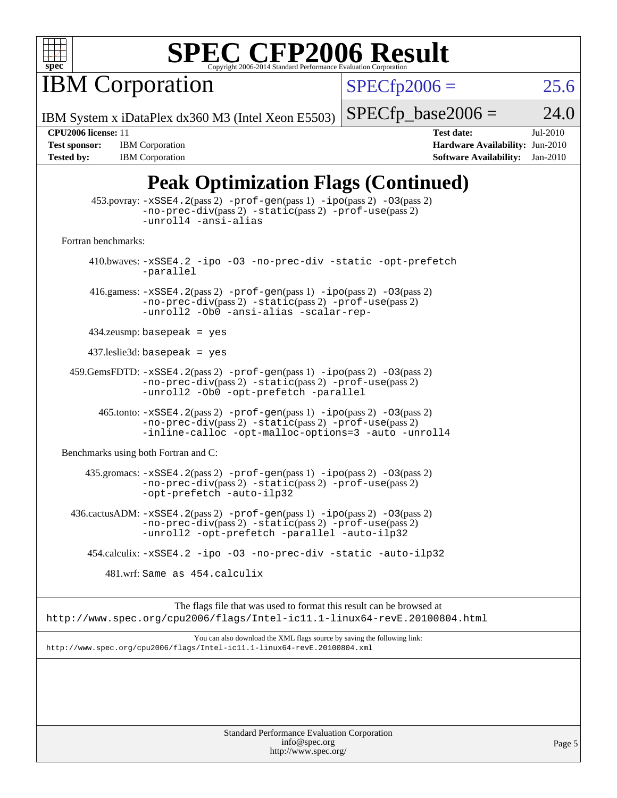

**IBM Corporation** 

 $SPECfp2006 = 25.6$  $SPECfp2006 = 25.6$ 

IBM System x iDataPlex dx360 M3 (Intel Xeon E5503)

 $SPECfp\_base2006 = 24.0$ 

**[Tested by:](http://www.spec.org/auto/cpu2006/Docs/result-fields.html#Testedby)** IBM Corporation **[Software Availability:](http://www.spec.org/auto/cpu2006/Docs/result-fields.html#SoftwareAvailability)** Jan-2010

**[CPU2006 license:](http://www.spec.org/auto/cpu2006/Docs/result-fields.html#CPU2006license)** 11 **[Test date:](http://www.spec.org/auto/cpu2006/Docs/result-fields.html#Testdate)** Jul-2010 **[Test sponsor:](http://www.spec.org/auto/cpu2006/Docs/result-fields.html#Testsponsor)** IBM Corporation **[Hardware Availability:](http://www.spec.org/auto/cpu2006/Docs/result-fields.html#HardwareAvailability)** Jun-2010

## **[Peak Optimization Flags \(Continued\)](http://www.spec.org/auto/cpu2006/Docs/result-fields.html#PeakOptimizationFlags)**

| 453.povray: -xSSE4.2(pass 2) -prof-gen(pass 1) -ipo(pass 2) -03(pass 2)<br>$-no-prec-div(pass 2) -static(pass 2) -prof-use(pass 2)$<br>-unroll4 -ansi-alias                                         |  |  |  |  |  |
|-----------------------------------------------------------------------------------------------------------------------------------------------------------------------------------------------------|--|--|--|--|--|
| Fortran benchmarks:                                                                                                                                                                                 |  |  |  |  |  |
| 410.bwaves: -xSSE4.2 -ipo -03 -no-prec-div -static -opt-prefetch<br>-parallel                                                                                                                       |  |  |  |  |  |
| 416.gamess: $-xSSE4$ . 2(pass 2) $-prof-gen(pass 1) -ipo(pass 2) -O3(pass 2)$<br>-no-prec-div(pass 2) -static(pass 2) -prof-use(pass 2)<br>-unroll2 -Ob0 -ansi-alias -scalar-rep-                   |  |  |  |  |  |
| $434$ .zeusmp: basepeak = yes                                                                                                                                                                       |  |  |  |  |  |
| $437$ .leslie3d: basepeak = yes                                                                                                                                                                     |  |  |  |  |  |
| 459.GemsFDTD: -xSSE4.2(pass 2) -prof-gen(pass 1) -ipo(pass 2) -03(pass 2)<br>$-no\text{-prec-div}(pass 2)$ $-static(pass 2)$ $-prot\text{-use}(pass 2)$<br>-unroll2 - Ob0 - opt-prefetch - parallel |  |  |  |  |  |
| $465$ .tonto: $-xSSE4$ . 2(pass 2) $-prof-gen(pass 1) -ipo(pass 2) -03(pass 2)$<br>$-no-prec-div(pass 2) -static(pass 2) -prof-use(pass 2)$<br>-inline-calloc -opt-malloc-options=3 -auto -unroll4  |  |  |  |  |  |
| Benchmarks using both Fortran and C:                                                                                                                                                                |  |  |  |  |  |
| $435$ .gromacs: $-xSSE4$ . 2(pass 2) $-prof-gen(pass 1) -ipo(pass 2) -03(pass 2)$<br>-no-prec-div(pass 2) -static(pass 2) -prof-use(pass 2)<br>-opt-prefetch -auto-ilp32                            |  |  |  |  |  |
| $436.cactusADM: -xSSE4.2(pass 2) -prof-gen(pass 1) -ipo(pass 2) -03(pass 2)$<br>-no-prec-div(pass 2) -static(pass 2) -prof-use(pass 2)<br>-unroll2 -opt-prefetch -parallel -auto-ilp32              |  |  |  |  |  |
| 454.calculix: -xSSE4.2 -ipo -03 -no-prec-div -static -auto-ilp32                                                                                                                                    |  |  |  |  |  |
| 481.wrf: Same as 454.calculix                                                                                                                                                                       |  |  |  |  |  |
| The flags file that was used to format this result can be browsed at<br>http://www.spec.org/cpu2006/flags/Intel-ic11.1-linux64-revE.20100804.html                                                   |  |  |  |  |  |
| You can also download the XML flags source by saving the following link:<br>http://www.spec.org/cpu2006/flags/Intel-icll.1-linux64-revE.20100804.xml                                                |  |  |  |  |  |
|                                                                                                                                                                                                     |  |  |  |  |  |
| Standard Performance Evaluation Cornoration                                                                                                                                                         |  |  |  |  |  |